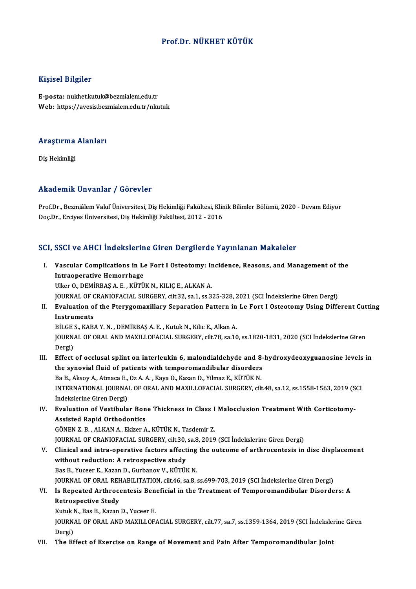#### Prof.Dr.NÜKHET KÜTÜK

#### Kişisel Bilgiler

E-posta: nukhet.kutuk@bezmialem.edu.tr Web: https://avesis.bezmialem.edu.tr/nkutuk

### .<br>Araştırma Alanları<br>. <mark>Araştırma</mark><br>Diş Hekimliği

## Akademik Unvanlar / Görevler

Akademik Unvanlar / Görevler<br>Prof.Dr., Bezmiâlem Vakıf Üniversitesi, Diş Hekimliği Fakültesi, Klinik Bilimler Bölümü, 2020 - Devam Ediyor<br>Des Dr., Ergives Üniversitesi, Diş Hekimliği Fakültesi, 2012, 2016 rrikudenini on vanlar 7 dördevler<br>Prof.Dr., Bezmiâlem Vakif Üniversitesi, Diş Hekimliği Fakültesi, Klir<br>Doç.Dr., Erciyes Üniversitesi, Diş Hekimliği Fakültesi, 2012 - 2016

## Doç.Dr., Erciyes Üniversitesi, Diş Hekimliği Fakültesi, 2012 - 2016<br>SCI, SSCI ve AHCI İndekslerine Giren Dergilerde Yayınlanan Makaleler

CI, SSCI ve AHCI İndekslerine Giren Dergilerde Yayınlanan Makaleler<br>I. Vascular Complications in Le Fort I Osteotomy: Incidence, Reasons, and Management of the<br>Intreaperative Hamerrhage **Intraoperative Hemorrhage**<br>Intraoperative Hemorrhage<br>I<sup>III</sup>IOE O DEMIPPAS A E *V*ITTI Intraoperative Hemorrhage<br>Ulker O., DEMİRBAŞ A. E., KÜTÜK N., KILIÇ E., ALKAN A. JOURNALOF CRANIOFACIAL SURGERY, cilt.32, sa.1, ss.325-328,2021 (SCI İndekslerineGirenDergi) Ulker O., DEMİRBAŞ A. E. , KÜTÜK N., KILIÇ E., ALKAN A.<br>JOURNAL OF CRANIOFACIAL SURGERY, cilt.32, sa.1, ss.325-328, 2021 (SCI İndekslerine Giren Dergi)<br>II. Evaluation of the Pterygomaxillary Separation Pattern in Le Fo **JOURNAL OF C**<br>Evaluation of<br>Instruments<br>P<sup>it CES KAP</sub></sup> Evaluation of the Pterygomaxillary Separation Pattern in<br>Instruments<br>BİLGE S., KABA Y.N., DEMİRBAŞ A.E., Kutuk N., Kilic E., Alkan A.<br>JOUPMAL OF OPAL AND MAYU LOFACIAL SURCERY silt 79, 83.16 Instruments<br>BİLGE S., KABA Y. N. , DEMİRBAŞ A. E. , Kutuk N., Kilic E., Alkan A.<br>JOURNAL OF ORAL AND MAXILLOFACIAL SURGERY, cilt.78, sa.10, ss.1820-1831, 2020 (SCI İndekslerine Giren<br>Dergi) BİLGE<br>JOURN<br>Dergi)<br>Effect I I. I. I. Effect of occlusal splint on interleukin 6, malondialdehyde and 8-hydroxydeoxyguanosine levels in<br>III. Effect of occlusal splint on interleukin 6, malondialdehyde and 8-hydroxydeoxyguanosine levels in<br>the synovi Dergi)<br>Effect of occlusal splint on interleukin 6, malondialdehyde and 8-<br>the synovial fluid of patients with temporomandibular disorders<br>Be B. Alrey A. Atmace E. Oz A. A. Kayo O. Kagan D. Vilmag E. Kürük N Effect of occlusal splint on interleukin 6, malondialdehyde and 8<br>the synovial fluid of patients with temporomandibular disorders<br>Ba B., Aksoy A., Atmaca E., Oz A. A. , Kaya O., Kazan D., Yilmaz E., KÜTÜK N.<br>INTERNATIONAL the synovial fluid of patients with temporomandibular disorders<br>Ba B., Aksoy A., Atmaca E., Oz A. A. , Kaya O., Kazan D., Yilmaz E., KÜTÜK N.<br>INTERNATIONAL JOURNAL OF ORAL AND MAXILLOFACIAL SURGERY, cilt.48, sa.12, ss.1558 Ba B., Aksoy A., Atmaca E.,<br>INTERNATIONAL JOURNA<br>İndekslerine Giren Dergi)<br>Evaluation of Vastibula INTERNATIONAL JOURNAL OF ORAL AND MAXILLOFACIAL SURGERY, cilt.48, sa.12, ss.1558-1563, 2019 (S<br>Indekslerine Giren Dergi)<br>IV. Evaluation of Vestibular Bone Thickness in Class I Malocclusion Treatment With Corticotomy-<br>Assis İndekslerine Giren Dergi)<br>Evaluation of Vestibular Bon<br>Assisted Rapid Orthodontics<br>CÖNEN 7 B. ALKAN A. Ekizer A Evaluation of Vestibular Bone Thickness in Class I<br>Assisted Rapid Orthodontics<br>GÖNEN Z. B., ALKAN A., Ekizer A., KÜTÜK N., Tasdemir Z.<br>JOUPMAL OF CRANIQEACIAL SURCERY silt 20, 88, 2010 Assisted Rapid Orthodontics<br>GÖNEN Z. B., ALKAN A., Ekizer A., KÜTÜK N., Tasdemir Z.<br>JOURNAL OF CRANIOFACIAL SURGERY, cilt.30, sa.8, 2019 (SCI İndekslerine Giren Dergi) V. Clinical and intra-operative factors affecting the outcome of arthrocentesis in disc displacement without reduction: A retrospective study BasB.,Yuceer E.,KazanD.,GurbanovV.,KÜTÜKN. JOURNAL OF ORAL REHABILITATION, cilt.46, sa.8, ss.699-703, 2019 (SCI İndekslerine Giren Dergi) Bas B., Yuceer E., Kazan D., Gurbanov V., KÜTÜK N.<br>JOURNAL OF ORAL REHABILITATION, cilt46, sa.8, ss.699-703, 2019 (SCI İndekslerine Giren Dergi)<br>VI. Is Repeated Arthrocentesis Beneficial in the Treatment of Temporomandibul Retrospective Study Is Repeated Arthrocentesis Ben<br>Retrospective Study<br>Kutuk N., Bas B., Kazan D., Yuceer E.<br>JOUPMAL OF OPAL AND MAYU LOF. JOURNAL OF ORAL AND MAXILLOFACIAL SURGERY, cilt.77, sa.7, ss.1359-1364, 2019 (SCI İndekslerine Giren<br>Dergi) Kutuk N., Bas B., Kazan D., Yuceer E. VII. The Effect of Exercise on Range of Movement and Pain After Temporomandibular Joint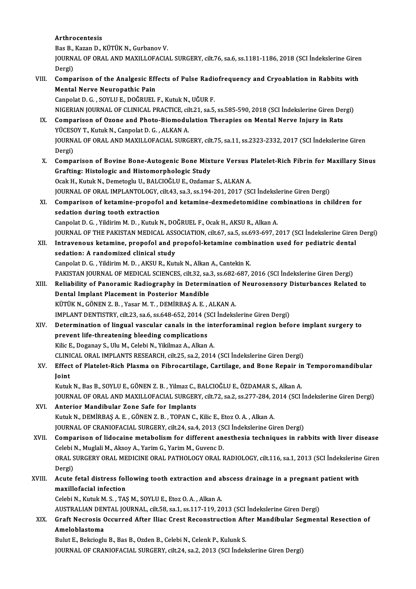#### Arthrocentesis

Arthrocentesis<br>Bas B., Kazan D., KÜTÜK N., Gurbanov V.<br>JOUPNAL OF OBAL AND MAXILLOFACIA

JOURNAL OF ORAL AND MAXILLOFACIAL SURGERY, cilt.76, sa.6, ss.1181-1186, 2018 (SCI İndekslerine Giren<br>Dergi) Bas B.,<br>JOURN.<br>Dergi) JOURNAL OF ORAL AND MAXILLOFACIAL SURGERY, cilt.76, sa.6, ss.1181-1186, 2018 (SCI Indekslerine Girer<br>Dergi)<br>VIII. Comparison of the Analgesic Effects of Pulse Radiofrequency and Cryoablation in Rabbits with<br>Mantal Naryo Na

Dergi)<br>Comparison of the Analgesic Eff<br>Mental Nerve Neuropathic Pain<br>Cannelat D.C., SOVUUE, DOČPUEL

Mental Nerve Neuropathic Pain<br>Canpolat D. G. , SOYLU E., DOĞRUEL F., Kutuk N., UĞUR F. NIGERIANJOURNALOF CLINICAL PRACTICE, cilt.21, sa.5, ss.585-590,2018 (SCI İndekslerineGirenDergi)

- Canpolat D. G. , SOYLU E., DOĞRUEL F., Kutuk N., UĞUR F.<br>NIGERIAN JOURNAL OF CLINICAL PRACTICE, cilt.21, sa.5, ss.585-590, 2018 (SCI İndekslerine Giren Dei<br>IX. Comparison of Ozone and Photo-Biomodulation Therapies on Menta NIGERIAN JOURNAL OF CLINICAL PRACTICE, cil<br>Comparison of Ozone and Photo-Biomodu<br>YÜCESOY T., Kutuk N., Canpolat D. G. , ALKAN A.<br>JOUPNAL OF OPAL AND MAYU LOFACIAL SUPC Comparison of Ozone and Photo-Biomodulation Therapies on Mental Nerve Injury in Rats<br>YÜCESOY T., Kutuk N., Canpolat D. G. , ALKAN A.<br>JOURNAL OF ORAL AND MAXILLOFACIAL SURGERY, cilt.75, sa.11, ss.2323-2332, 2017 (SCI İndeks YÜCESOY T., Kutuk N., Canpolat D. G. , ALKAN A.<br>JOURNAL OF ORAL AND MAXILLOFACIAL SURGERY, cilt.75, sa.11, ss.2323-2332, 2017 (SCI İndekslerine Giren<br>Dergi)
- X. Comparison of Bovine Bone-Autogenic Bone Mixture Versus Platelet-Rich Fibrin for Maxillary Sinus Grafting: Histologic and Histomorphologic Study OcakH.,KutukN.,DemetogluU.,BALCIOĞLUE.,Ozdamar S.,ALKANA. Grafting: Histologic and Histomorphologic Study<br>Ocak H., Kutuk N., Demetoglu U., BALCIOĞLU E., Ozdamar S., ALKAN A.<br>JOURNAL OF ORAL IMPLANTOLOGY, cilt.43, sa.3, ss.194-201, 2017 (SCI İndekslerine Giren Dergi)<br>Comparison of

Ocak H., Kutuk N., Demetoglu U., BALCIOĞLU E., Ozdamar S., ALKAN A.<br>JOURNAL OF ORAL IMPLANTOLOGY, cilt.43, sa.3, ss.194-201, 2017 (SCI İndekslerine Giren Dergi)<br>XI. Comparison of ketamine-propofol and ketamine-dexmedetomid JOURNAL OF ORAL IMPLANTOLOGY, one of the set all interpret of the sedation during tooth extraction Comparison of ketamine-propofol and ketamine-dexmedetomidine compolation<br>Sedation during tooth extraction<br>Canpolat D. G. , Yildirim M. D. , Kutuk N., DOĞRUEL F., Ocak H., AKSU R., Alkan A.<br>JOUPMAL OF THE RAKISTAN MEDICAL A sedation during tooth extraction<br>Canpolat D. G. , Yildirim M. D. , Kutuk N., DOĞRUEL F., Ocak H., AKSU R., Alkan A.<br>JOURNAL OF THE PAKISTAN MEDICAL ASSOCIATION, cilt.67, sa.5, ss.693-697, 2017 (SCI İndekslerine Giren Dergi

Canpolat D. G. , Yildirim M. D. , Kutuk N., DOĞRUEL F., Ocak H., AKSU R., Alkan A.<br>JOURNAL OF THE PAKISTAN MEDICAL ASSOCIATION, cilt.67, sa.5, ss.693-697, 2017 (SCI İndekslerine Giren<br>XII. Intravenous ketamine, propofol an SOURNAL OF THE PAKISTAN MEDICAL ASS<br>Intravenous ketamine, propofol and p<br>sedation: A randomized clinical study<br>Cannelat D.C., Vildivim M.D., AKSU B. Kut XII. Intravenous ketamine, propofol and propofol-ketamine combination used for pediatric dental<br>sedation: A randomized clinical study<br>Canpolat D. G. , Yildirim M. D. , AKSU R., Kutuk N., Alkan A., Cantekin K. sedation: A randomized clinical study<br>Canpolat D. G. , Yildirim M. D. , AKSU R., Kutuk N., Alkan A., Cantekin K.<br>PAKISTAN JOURNAL OF MEDICAL SCIENCES, cilt.32, sa.3, ss.682-687, 2016 (SCI İndekslerine Giren Dergi)<br>Peliabil

Canpolat D. G. , Yildirim M. D. , AKSU R., Kutuk N., Alkan A., Cantekin K.<br>PAKISTAN JOURNAL OF MEDICAL SCIENCES, cilt.32, sa.3, ss.682-687, 2016 (SCI İndekslerine Giren Dergi)<br>XIII. Reliability of Panoramic Radiography in PAKISTAN JOURNAL OF MEDICAL SCIENCES, cilt.32, sa.<br>Reliability of Panoramic Radiography in Determi<br>Dental Implant Placement in Posterior Mandible<br>V<sup>ittliv N. C</sub>ònen 7 B. Yesen M.T. DEMIPPAS A E.</sup> Reliability of Panoramic Radiography in Determination of Neurosensory Disturbances Related to<br>Dental Implant Placement in Posterior Mandible<br>KÜTÜK N., GÖNEN Z. B. , Yasar M. T. , DEMİRBAŞ A. E. , ALKAN A.

IMPLANTDENTISTRY, cilt.23, sa.6, ss.648-652,2014 (SCI İndekslerineGirenDergi)

- KÜTÜK N., GÖNEN Z. B. , Yasar M. T. , DEMİRBAŞ A. E. , ALKAN A.<br>IMPLANT DENTISTRY, cilt.23, sa.6, ss.648-652, 2014 (SCI İndekslerine Giren Dergi)<br>XIV. Determination of lingual vascular canals in the interforaminal region b IMPLANT DENTISTRY, cilt.23, sa.6, ss.648-652, 2014 (S<br>Determination of lingual vascular canals in the i<br>prevent life-threatening bleeding complications<br><sup>Vilig E.</sup> Deganay S. Ulu M. Colobi N. Vilrimag A. Allian Determination of lingual vascular canals in the int<br>prevent life-threatening bleeding complications<br>Kilic E., Doganay S., Ulu M., Celebi N., Yikilmaz A., Alkan A.<br>CLINICAL OPAL IMPLANTS BESEARCH silt 25, 82, 2014 prevent life-threatening bleeding complications<br>Kilic E., Doganay S., Ulu M., Celebi N., Yikilmaz A., Alkan A.<br>CLINICAL ORAL IMPLANTS RESEARCH, cilt.25, sa.2, 2014 (SCI İndekslerine Giren Dergi)<br>Effect of Platelet Bish Pla Kilic E., Doganay S., Ulu M., Celebi N., Yikilmaz A., Alkan A.<br>CLINICAL ORAL IMPLANTS RESEARCH, cilt.25, sa.2, 2014 (SCI İndekslerine Giren Dergi)<br>XV. Effect of Platelet-Rich Plasma on Fibrocartilage, Cartilage, and Bo
- CLINI<br><mark>Effec</mark><br>Joint Effect of Platelet-Rich Plasma on Fibrocartilage, Cartilage, and Bone Repair ir<br>Joint<br>Kutuk N., Bas B., SOYLU E., GÖNEN Z. B. , Yilmaz C., BALCIOĞLU E., ÖZDAMAR S., Alkan A.<br>JOUPMAL OF OPAL AND MAXILLOFACIAL SURGERY .silt

Joint<br>Kutuk N., Bas B., SOYLU E., GÖNEN Z. B. , Yilmaz C., BALCIOĞLU E., ÖZDAMAR S., Alkan A.<br>JOURNAL OF ORAL AND MAXILLOFACIAL SURGERY, cilt.72, sa.2, ss.277-284, 2014 (SCI İndekslerine Giren Dergi)

- XVI. Anterior Mandibular Zone Safe for Implants JOURNAL OF ORAL AND MAXILLOFACIAL SURGERY, cilt.72, sa.2, ss.277-284, 2<br>Anterior Mandibular Zone Safe for Implants<br>Kutuk N., DEMİRBAŞ A. E. , GÖNEN Z. B. , TOPAN C., Kilic E., Etoz O. A. , Alkan A.<br>JOUPNAL OE CRANIOFACIAL Anterior Mandibular Zone Safe for Implants<br>Kutuk N., DEMİRBAŞ A. E. , GÖNEN Z. B. , TOPAN C., Kilic E., Etoz O. A. , Alkan A.<br>JOURNAL OF CRANIOFACIAL SURGERY, cilt.24, sa.4, 2013 (SCI İndekslerine Giren Dergi)<br>Comparison o
- JOURNAL OF CRANIOFACIAL SURGERY, cilt.24, sa.4, 2013 (SCI Indekslerine Giren Dergi)<br>XVII. Comparison of lidocaine metabolism for different anesthesia techniques in rabbits with liver disease JOURNAL OF CRANIOFACIAL SURGERY, cilt.24, sa.4, 2013 (S<br>Comparison of lidocaine metabolism for different an<br>Celebi N., Muglali M., Aksoy A., Yarim G., Yarim M., Guvenc D.<br>ORAL SURCERY ORAL MEDICINE ORAL RATHOLOCY ORAL I ORAL SURGERY ORAL MEDICINE ORAL PATHOLOGY ORAL RADIOLOGY, cilt.116, sa.1, 2013 (SCI İndekslerine Giren<br>Dergi) Celebi I<br>ORAL S<br>Dergi)<br>Agute ORAL SURGERY ORAL MEDICINE ORAL PATHOLOGY ORAL RADIOLOGY, cilt.116, sa.1, 2013 (SCI İndekslerine<br>Dergi)<br>XVIII. Acute fetal distress following tooth extraction and abscess drainage in a pregnant patient with<br>maxillafacial i
- Dergi)<br>Acute fetal distress fol<br>maxillofacial infection<br>Celebi N. Kutuk M. S. TAS Acute fetal distress following tooth extraction and a<br>maxillofacial infection<br>Celebi N., Kutuk M. S., TAŞ M., SOYLU E., Etoz O. A., Alkan A.<br>AUSTRALIAN DENTAL JOURNAL, silt 59, so 1, so 117, 119, 20 maxillofacial infection<br>Celebi N., Kutuk M. S. , TAŞ M., SOYLU E., Etoz O. A. , Alkan A.<br>AUSTRALIAN DENTAL JOURNAL, cilt.58, sa.1, ss.117-119, 2013 (SCI İndekslerine Giren Dergi)<br>Craft Neeresis Oseurred, After Ilise Crest

Celebi N., Kutuk M. S. , TAŞ M., SOYLU E., Etoz O. A. , Alkan A.<br>AUSTRALIAN DENTAL JOURNAL, cilt.58, sa.1, ss.117-119, 2013 (SCI İndekslerine Giren Dergi)<br>XIX. Graft Necrosis Occurred After Iliac Crest Reconstruction A AUSTRALIAN DEN<br>Graft Necrosis (<br>Ameloblastoma<br><sup>Pulut E.</sup> Peksiask Graft Necrosis Occurred After Iliac Crest Reconstruction Aft<br>Ameloblastoma<br>Bulut E., Bekcioglu B., Bas B., Ozden B., Celebi N., Celenk P., Kulunk S.<br>JOUPMAL OF CRANIOFACIAL SURCERY, silt 24, se 2, 2012 (SCL indek

Ameloblastoma<br>Bulut E., Bekcioglu B., Bas B., Ozden B., Celebi N., Celenk P., Kulunk S.<br>JOURNAL OF CRANIOFACIAL SURGERY, cilt.24, sa.2, 2013 (SCI İndekslerine Giren Dergi)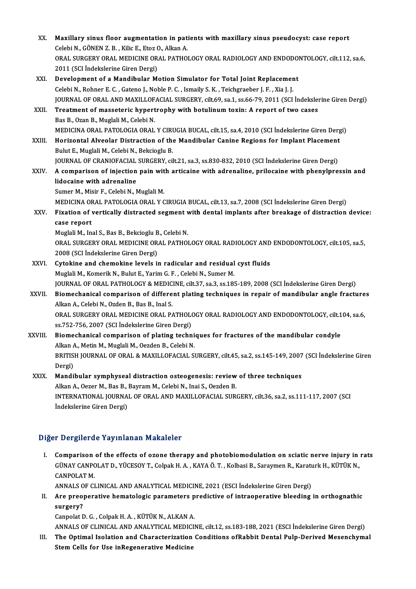| XX.         | Maxillary sinus floor augmentation in patients with maxillary sinus pseudocyst: case report<br>Celebi N., GÖNEN Z. B., Kilic E., Etoz O., Alkan A. |
|-------------|----------------------------------------------------------------------------------------------------------------------------------------------------|
|             | ORAL SURGERY ORAL MEDICINE ORAL PATHOLOGY ORAL RADIOLOGY AND ENDODONTOLOGY, cilt.112, sa.6,<br>2011 (SCI İndekslerine Giren Dergi)                 |
| XXI.        | Development of a Mandibular Motion Simulator for Total Joint Replacement                                                                           |
|             | Celebi N., Rohner E. C., Gateno J., Noble P. C., Ismaily S. K., Teichgraeber J. F., Xia J. J.                                                      |
|             | JOURNAL OF ORAL AND MAXILLOFACIAL SURGERY, cilt.69, sa.1, ss.66-79, 2011 (SCI İndekslerine Giren Dergi)                                            |
| XXII.       | Treatment of masseteric hypertrophy with botulinum toxin: A report of two cases<br>Bas B., Ozan B., Muglali M., Celebi N.                          |
|             | MEDICINA ORAL PATOLOGIA ORAL Y CIRUGIA BUCAL, cilt.15, sa.4, 2010 (SCI İndekslerine Giren Dergi)                                                   |
| XXIII.      | Horizontal Alveolar Distraction of the Mandibular Canine Regions for Implant Placement<br>Bulut E., Muglali M., Celebi N., Bekcioglu B.            |
|             | JOURNAL OF CRANIOFACIAL SURGERY, cilt.21, sa.3, ss.830-832, 2010 (SCI Indekslerine Giren Dergi)                                                    |
| <b>XXIV</b> | A comparison of injection pain with articaine with adrenaline, prilocaine with phenylpressin and                                                   |
|             | lidocaine with adrenaline                                                                                                                          |
|             | Sumer M., Misir F., Celebi N., Muglali M.                                                                                                          |
|             | MEDICINA ORAL PATOLOGIA ORAL Y CIRUGIA BUCAL, cilt.13, sa.7, 2008 (SCI İndekslerine Giren Dergi)                                                   |
| XXV.        | Fixation of vertically distracted segment with dental implants after breakage of distraction device:                                               |
|             | case report                                                                                                                                        |
|             | Muglali M., Inal S., Bas B., Bekcioglu B., Celebi N.                                                                                               |
|             | ORAL SURGERY ORAL MEDICINE ORAL PATHOLOGY ORAL RADIOLOGY AND ENDODONTOLOGY, cilt.105, sa.5,<br>2008 (SCI İndekslerine Giren Dergi)                 |
| XXVI.       | Cytokine and chemokine levels in radicular and residual cyst fluids                                                                                |
|             | Muglali M., Komerik N., Bulut E., Yarim G. F., Celebi N., Sumer M.                                                                                 |
|             | JOURNAL OF ORAL PATHOLOGY & MEDICINE, cilt.37, sa.3, ss.185-189, 2008 (SCI İndekslerine Giren Dergi)                                               |
| XXVII.      | Biomechanical comparison of different plating techniques in repair of mandibular angle fractures                                                   |
|             | Alkan A., Celebi N., Ozden B., Bas B., Inal S.                                                                                                     |
|             | ORAL SURGERY ORAL MEDICINE ORAL PATHOLOGY ORAL RADIOLOGY AND ENDODONTOLOGY, cilt.104, sa.6,                                                        |
|             | ss 752-756, 2007 (SCI İndekslerine Giren Dergi)                                                                                                    |
| XXVIII.     | Biomechanical comparison of plating techniques for fractures of the mandibular condyle<br>Alkan A., Metin M., Muglali M., Oezden B., Celebi N.     |
|             | BRITISH JOURNAL OF ORAL & MAXILLOFACIAL SURGERY, cilt.45, sa.2, ss.145-149, 2007 (SCI Indekslerine Giren<br>Dergi)                                 |
| XXIX.       | Mandibular symphyseal distraction osteogenesis: review of three techniques                                                                         |
|             | Alkan A., Oezer M., Bas B., Bayram M., Celebi N., Inai S., Oezden B.                                                                               |
|             | INTERNATIONAL JOURNAL OF ORAL AND MAXILLOFACIAL SURGERY, cilt.36, sa.2, ss.111-117, 2007 (SCI<br>İndekslerine Giren Dergi)                         |
|             |                                                                                                                                                    |

#### Diğer Dergilerde Yayınlanan Makaleler

I. Comparison of the effects of ozone therapy and photobiomodulation on sciatic nerve injury in rats T Dergifer at Tay Infantan Franciscies<br>Comparison of the effects of ozone therapy and photobiomodulation on sciatic nerve injury in<br>GÜNAY CANPOLAT D., YÜCESOY T., Colpak H. A. , KAYA Ö. T. , Kolbasi B., Saraymen R., Karatu **Comparison<br>GÜNAY CANPO<br>CANPOLAT M.<br>ANNALS OF CL** GÜNAY CANPOLAT D., YÜCESOY T., Colpak H. A. , KAYA Ö. T. , Kolbasi B., Saraymen R., Karatı<br>CANPOLAT M.<br>ANNALS OF CLINICAL AND ANALYTICAL MEDICINE, 2021 (ESCI İndekslerine Giren Dergi)<br>Are anaononative hematologia peremeter

CANPOLAT M.<br>ANNALS OF CLINICAL AND ANALYTICAL MEDICINE, 2021 (ESCI İndekslerine Giren Dergi)<br>II. Are preoperative hematologic parameters predictive of intraoperative bleeding in orthognathic<br>aurgery? ANNALS O<br>Are preo<sub>l</sub><br>surgery?<br>Cannalat E Are preoperative hematologic parameters p<br>surgery?<br>Canpolat D. G. , Colpak H. A. , KÜTÜK N., ALKAN A.<br>ANNALS OF CLINICAL AND ANALYTICAL MEDICII surgery?<br>Canpolat D. G. , Colpak H. A. , KÜTÜK N., ALKAN A.<br>ANNALS OF CLINICAL AND ANALYTICAL MEDICINE, cilt.12, ss.183-188, 2021 (ESCI İndekslerine Giren Dergi)<br>The Ontimal Isalation and Chanasterisation Conditions of Pab

Canpolat D. G. , Colpak H. A. , KÜTÜK N., ALKAN A.<br>ANNALS OF CLINICAL AND ANALYTICAL MEDICINE, cilt.12, ss.183-188, 2021 (ESCI İndekslerine Giren Dergi)<br>III. The Optimal Isolation and Characterization Conditions ofRabbit D ANNALS OF CLINICAL AND ANALYTICAL MEDICI<br>The Optimal Isolation and Characterization<br>Stem Cells for Use inRegenerative Medicine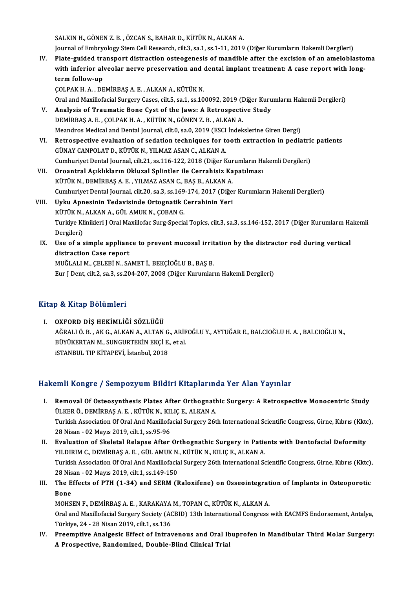SALKIN H., GÖNEN Z. B., ÖZCAN S., BAHAR D., KÜTÜK N., ALKAN A.

Journal of Embryology Stem Cell Research, cilt.3, sa.1, ss.1-11, 2019 (Diğer Kurumların Hakemli Dergileri)

- IV. Plate-guided transport distraction osteogenesis ofmandible after the excision of an ameloblastoma Journal of Embryology Stem Cell Research, cilt.3, sa.1, ss.1-11, 2019 (Diğer Kurumların Hakemli Dergileri)<br>Plate-guided transport distraction osteogenesis of mandible after the excision of an ameloblasto<br>with inferior alve Plate-guided tra<br>with inferior alv<br>term follow-up<br>COLPAK H A DE with inferior alveolar nerve preservation and<br>term follow-up<br>ÇOLPAK H.A., DEMİRBAŞ A.E., ALKAN A., KÜTÜK N.<br>Oral and Mavillefacial Surgery Cases, silt 5, sa 1, ss 10. term follow-up<br>ÇOLPAK H. A. , DEMİRBAŞ A. E. , ALKAN A., KÜTÜK N.<br>Oral and Maxillofacial Surgery Cases, cilt.5, sa.1, ss.100092, 2019 (Diğer Kurumların Hakemli Dergileri)<br>Analysis of Traumatis Bone Cyst of the Jaws: A Betr
	-

- COLPAK H. A., DEMIRBAŞ A. E., ALKAN A., KÜTÜK N.<br>Oral and Maxillofacial Surgery Cases, cilt.5, sa.1, ss.100092, 2019 (Diğer Kuru<br>V. Analysis of Traumatic Bone Cyst of the Jaws: A Retrospective Study<br>DEMIPRAS A E. COLRAK H. Oral and Maxillofacial Surgery Cases, cilt.5, sa.1, ss.100092, 2019 (I<br>Analysis of Traumatic Bone Cyst of the Jaws: A Retrospecti<br>DEMİRBAŞ A. E. , ÇOLPAK H. A. , KÜTÜK N., GÖNEN Z. B. , ALKAN A.<br>Meandres Medical and Dental V. Analysis of Traumatic Bone Cyst of the Jaws: A Retrospective Study<br>DEMIRBAŞ A. E., ÇOLPAK H. A., KÜTÜK N., GÖNEN Z. B., ALKAN A.<br>Meandros Medical and Dental Journal, cilt.0, sa.0, 2019 (ESCI İndekslerine Giren Dergi)
- DEMIRBAŞ A. E. , ÇOLPAK H. A. , KÜTÜK N., GÖNEN Z. B. , ALKAN A.<br>Meandros Medical and Dental Journal, cilt.0, sa.0, 2019 (ESCI İndekslerine Giren Dergi)<br>VI. Retrospective evaluation of sedation techniques for tooth extract Meandros Medical and Dental Journal, cilt.0, sa.0, 2019 (ESCI<br>Retrospective evaluation of sedation techniques for t<br>GÜNAY CANPOLAT D., KÜTÜK N., YILMAZ ASAN C., ALKAN A.<br>Cumburiyat Dantal Journal, silt 21, ss 116, 122, 201 Retrospective evaluation of sedation techniques for tooth extraction in pediatrion<br>GÜNAY CANPOLAT D., KÜTÜK N., YILMAZ ASAN C., ALKAN A.<br>Cumhuriyet Dental Journal, cilt.21, ss.116-122, 2018 (Diğer Kurumların Hakemli Dergil GÜNAY CANPOLAT D., KÜTÜK N., YILMAZ ASAN C., ALKAN A.<br>Cumhuriyet Dental Journal, cilt.21, ss.116-122, 2018 (Diğer Kurumların Ha<br>VII. Oroantral Açıklıkların Okluzal Splintler ile Cerrahisiz Kapatılması<br>VÜTÜK N. DEMİRRAS A.
- Cumhuriyet Dental Journal, cilt.21, ss.116-122, 2018 (Diğer Kur<br>Oroantral Açıklıkların Okluzal Splintler ile Cerrahisiz Ka<br>KÜTÜK N., DEMİRBAŞ A. E. , YILMAZ ASAN C., BAŞ B., ALKAN A.<br>Cumburiyet Dantal Journal, silt 20, ss. Oroantral Açıklıkların Okluzal Splintler ile Cerrahisiz Kapatılması<br>KÜTÜK N., DEMİRBAŞ A. E. , YILMAZ ASAN C., BAŞ B., ALKAN A.<br>Cumhuriyet Dental Journal, cilt.20, sa.3, ss.169-174, 2017 (Diğer Kurumların Hakemli Dergileri KÜTÜK N., DEMİRBAŞ A. E. , YILMAZ ASAN C., BAŞ B., ALKAN A.<br>Cumhuriyet Dental Journal, cilt.20, sa.3, ss.169-174, 2017 (Diğe:<br>VIII. Uyku Apnesinin Tedavisinde Ortognatik Cerrahinin Yeri<br>KÜTÜK N., ALKAN A., GÜL AMUK N., COB
- Cumhuriyet Dental Journal, cilt.20, sa.3, ss.169<br><mark>Uyku Apnesinin Tedavisinde Ortognatik (</mark><br>KÜTÜK N., ALKAN A., GÜL AMUK N., ÇOBAN G.<br>Turkiye Klinikleri LOrel Mevillefee Surg Specia Uyku Apnesinin Tedavisinde Ortognatik Cerrahinin Yeri<br>KÜTÜK N., ALKAN A., GÜL AMUK N., ÇOBAN G.<br>Turkiye Klinikleri J Oral Maxillofac Surg-Special Topics, cilt.3, sa.3, ss.146-152, 2017 (Diğer Kurumların Hakemli<br>Persileri) KÜTÜK N.,<br>Turkiye Kl<br>Dergileri)<br>Haa of a s Turkiye Klinikleri J Oral Maxillofac Surg-Special Topics, cilt.3, sa.3, ss.146-152, 2017 (Diğer Kurumların Handleri)<br>Dergileri)<br>IX. Use of a simple appliance to prevent mucosal irritation by the distractor rod during verti
- Dergileri)<br>Use of a simple appliane<br>distraction Case report<br>MUČLALLM, CELERÍN, SA distraction Case report<br>MUĞLALI M., ÇELEBİ N., SAMET İ., BEKÇİOĞLU B., BAŞ B. Eur J Dent, cilt.2, sa.3, ss.204-207, 2008 (Diğer Kurumların Hakemli Dergileri)

#### Kitap & Kitap Bölümleri

I. OXFORD DİŞ HEKİMLİĞİ SÖZLÜĞÜ P & IIIUP BOIUMIOIT<br>OXFORD DİŞ HEKİMLİĞİ SÖZLÜĞÜ<br>AĞRALI Ö. B., AK G., ALKAN A., ALTAN G., ARİFOĞLU Y., AYTUĞAR E., BALCIOĞLU H. A. , BALCIOĞLU N.,<br>RÜVÜKERTAN M. SUNGURTEKİN EKÇİ E. 95 A. OXFORD DİŞ HEKİMLİĞİ SÖZLÜĞÜ<br>AĞRALI Ö. B. , AK G., ALKAN A., ALTAN G., ARİF<br>BÜYÜKERTAN M., SUNGURTEKİN EKÇİ E., et al.<br>STANBUL TIR KİTAREVİ, İstanbul 2018 AĞRALI Ö. B. , AK G., ALKAN A., ALTAN G<br>BÜYÜKERTAN M., SUNGURTEKİN EKÇİ E.<br>iSTANBUL TIP KİTAPEVİ, İstanbul, 2018

# iSTANBUL TIP KİTAPEVİ, İstanbul, 2018<br>Hakemli Kongre / Sempozyum Bildiri Kitaplarında Yer Alan Yayınlar

- akemli Kongre / Sempozyum Bildiri Kitaplarında Yer Alan Yayınlar<br>I. Removal Of Osteosynthesis Plates After Orthognathic Surgery: A Retrospective Monocentric Study<br>III KEP Ö DEMİPPAS A E KÜTÜK N. KULC E ALKAN A ULKER Ö., DEMİRDAYAM DARIT FIRMIYATIN.<br>Removal Of Osteosynthesis Plates After Orthognati<br>ÜLKER Ö., DEMİRBAŞ A. E., KÜTÜK N., KILIÇ E., ALKAN A. Removal Of Osteosynthesis Plates After Orthognathic Surgery: A Retrospective Monocentric Study<br>ÜLKER Ö., DEMİRBAŞ A. E. , KÜTÜK N., KILIÇ E., ALKAN A.<br>Turkish Association Of Oral And Maxillofacial Surgery 26th Internationa ÜLKER Ö., DEMİRBAŞ A. E. , KÜTÜK N., KILIÇ E., ALKAN A.<br>Turkish Association Of Oral And Maxillofacial Surgery 26th International Scientific Congress, Girne, Kıbrıs (Kktc),<br>28 Nisan - 02 Mayıs 2019, cilt.1, ss.95-96 Turkish Association Of Oral And Maxillofacial Surgery 26th International Scientific Congress, Girne, Kıbrıs (Kktorum)<br>28 Nisan - 02 Mayıs 2019, cilt.1, ss.95-96<br>II. Evaluation of Skeletal Relapse After Orthognathic Surgery
- 28 Nisan 02 Mayıs 2019, cilt.1, ss.95-96<br><mark>Evaluation of Skeletal Relapse After Orthognathic Surgery in Patie</mark><br>YILDIRIM C., DEMİRBAŞ A. E. , GÜL AMUK N., KÜTÜK N., KILIÇ E., ALKAN A.<br>Turkish Assosiation Of Oral And Mavill Evaluation of Skeletal Relapse After Orthognathic Surgery in Patients with Dentofacial Deformity<br>YILDIRIM C., DEMİRBAŞ A. E. , GÜL AMUK N., KÜTÜK N., KILIÇ E., ALKAN A.<br>Turkish Association Of Oral And Maxillofacial Surgery YILDIRIM C., DEMİRBAŞ A. E. , GÜL AMUK N.<br>Turkish Association Of Oral And Maxillofacia<br>28 Nisan - 02 Mayıs 2019, cilt.1, ss.149-150<br>The Effects of PTH (1.34) and SEPM (L Turkish Association Of Oral And Maxillofacial Surgery 26th International Scientific Congress, Girne, Kıbrıs (Kktc),<br>28 Nisan - 02 Mayıs 2019, cilt.1, ss.149-150<br>III. The Effects of PTH (1-34) and SERM (Raloxifene) on Osseo
- 28 Nisan 02 Mayıs 2019, cilt.1, ss.149-150<br>III. The Effects of PTH (1-34) and SERM (Raloxifene) on Osseointegration of Implants in Osteoporotic<br>Bone The Effects of PTH (1-34) and SERM (Raloxifene) on Osseointegrat<br>Bone<br>MOHSEN F., DEMİRBAŞ A.E., KARAKAYA M., TOPAN C., KÜTÜK N., ALKAN A.<br>Oral and Mavillafacial Surgary Sociaty (ACPID) 12th International Congress.

Oral and Maxillofacial Surgery Society (ACBID) 13th International Congress with EACMFS Endorsement, Antalya,<br>Türkiye, 24 - 28 Nisan 2019, cilt.1, ss.136 MOHSEN F., DEMİRBAŞ A. E. , KARAKAYA<br>Oral and Maxillofacial Surgery Society (AC<br>Türkiye, 24 - 28 Nisan 2019, cilt.1, ss.136<br>Preemntiye, Analsosia Effect of Intrax Oral and Maxillofacial Surgery Society (ACBID) 13th International Congress with EACMFS Endorsement, Antalya,<br>Türkiye, 24 - 28 Nisan 2019, cilt.1, ss.136<br>IV. Preemptive Analgesic Effect of Intravenous and Oral Ibuprofen in

Türkiye, 24 - 28 Nisan 2019, cilt.1, ss.136<br>Preemptive Analgesic Effect of Intravenous and Oral Il<br>A Prospective, Randomized, Double-Blind Clinical Trial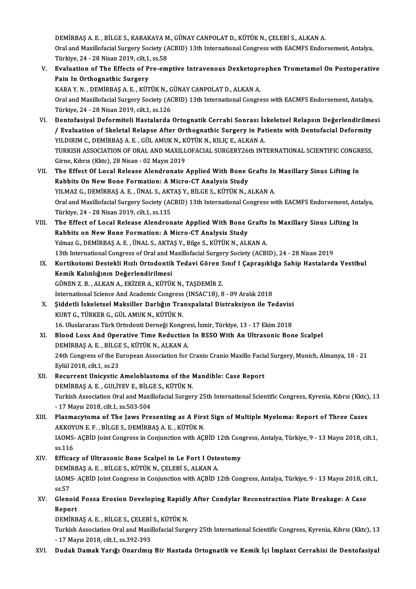DEMİRBAŞ A. E. , BİLGE S., KARAKAYA M., GÜNAY CANPOLAT D., KÜTÜK N., ÇELEBİ S., ALKAN A.<br>Oral and Mavillefacial Surgery Society (ACPID) 12th International Congress vith EACMES Ender Oral and Maxillofacial Surgery Society (ACBID) 13th International Congress with EACMFS Endorsement, Antalya,<br>Türkiye, 24 - 28 Nisan 2019, cilt.1, ss.58 DEMİRBAŞ A. E. , BİLGE S., KARAKAYA M<br>Oral and Maxillofacial Surgery Society (A<br>Türkiye, 24 - 28 Nisan 2019, cilt.1, ss.58<br>Evaluation of The Effects of Pre-em Oral and Maxillofacial Surgery Society (ACBID) 13th International Congress with EACMFS Endorsement, Antalya,<br>Türkiye, 24 - 28 Nisan 2019, cilt.1, ss.58<br>V. Evaluation of The Effects of Pre-emptive Intravenous Dexketoprophen

- Türkiye, 24 28 Nisan 2019, cilt.1,<br>Evaluation of The Effects of P<br>Pain In Orthognathic Surgery<br>KARA V N. DEMIPPAS A F. KÜT Evaluation of The Effects of Pre-emptive Intravenous Dexketopr<br>Pain In Orthognathic Surgery<br>KABA Y. N. , DEMİRBAŞ A. E. , KÜTÜK N., GÜNAY CANPOLAT D., ALKAN A.<br>Oral and Mavillefacial Surgery Society (ACPID) 12th Internatio Pain In Orthognathic Surgery<br>KABA Y. N. , DEMİRBAŞ A. E. , KÜTÜK N., GÜNAY CANPOLAT D., ALKAN A.<br>Oral and Maxillofacial Surgery Society (ACBID) 13th International Congress with EACMFS Endorsement, Antalya,<br>Türkiye, 24 - 28 KABA Y. N., DEMİRBAŞ A. E., KÜTÜK N., GÜNAY CANPOLAT D., ALKAN A.
- VI. Dentofasiyal Deformiteli Hastalarda Ortognatik Cerrahi Sonrası İskeletsel Relapsın Değerlendirilmesi Türkiye, 24 - 28 Nisan 2019, cilt.1, ss.126<br>Dentofasiyal Deformiteli Hastalarda Ortognatik Cerrahi Sonrası İskeletsel Relapsın Değerlendirilme<br>/ Evaluation of Skeletal Relapse After Orthognathic Surgery in Patients with De Dentofasiyal Deformiteli Hastalarda Ortognatik Cerrahi Sonrası İs<br>/ Evaluation of Skeletal Relapse After Orthognathic Surgery in Pat<br>YILDIRIM C., DEMİRBAŞ A. E. , GÜL AMUK N., KÜTÜK N., KILIÇ E., ALKAN A.<br>TURKISH ASSOCIATI / Evaluation of Skeletal Relapse After Orthognathic Surgery in Patients with Dentofacial Deformity<br>YILDIRIM C., DEMİRBAŞ A. E. , GÜL AMUK N., KÜTÜK N., KILIÇ E., ALKAN A.<br>TURKISH ASSOCIATION OF ORAL AND MAXILLOFACIAL SURGE YILDIRIM C., DEMİRBAŞ A. E. , GÜL AMUK N., KÜTÜK N., KILIÇ E., ALKAN A.<br>TURKISH ASSOCIATION OF ORAL AND MAXILLOFACIAL SURGERY26th INTERNATIONAL SCIENTIFIC CONGRESS,<br>Girne, Kıbrıs (Kktc), 28 Nisan - 02 Mayıs 2019 TURKISH ASSOCIATION OF ORAL AND MAXILLOFACIAL SURGERY26th INTERNATIONAL SCIENTIFIC CONGR<br>Girne, Kıbrıs (Kktc), 28 Nisan - 02 Mayıs 2019<br>VII. The Effect Of Local Release Alendronate Applied With Bone Grafts In Maxillary Sin
- Girne, Kıbrıs (Kktc), 28 Nisan 02 Mayıs 2019<br>The Effect Of Local Release Alendronate Applied With Bone (<br>Rabbits On New Bone Formation: A Micro-CT Analysis Study<br>YU MAZ G DEMİRRAS A E LÍNAL S AKTAS V RU GES KÜTÜK N The Effect Of Local Release Alendronate Applied With Bone Grafts In<br>Rabbits On New Bone Formation: A Micro-CT Analysis Study<br>YILMAZ G., DEMİRBAŞ A. E. , ÜNAL S., AKTAŞ Y., BİLGE S., KÜTÜK N., ALKAN A.<br>Oral and Mavillafasia Rabbits On New Bone Formation: A Micro-CT Analysis Study<br>YILMAZ G., DEMİRBAŞ A. E. , ÜNAL S., AKTAŞ Y., BİLGE S., KÜTÜK N., ALKAN A.<br>Oral and Maxillofacial Surgery Society (ACBID) 13th International Congress with EACMFS En YILMAZ G., DEMİRBAŞ A. E., ÜNAL S., AKTAŞ Y., BİLGE S., KÜTÜK N., ALKAN A. Oral and Maxillofacial Surgery Society (ACBID) 13th International Congress with EACMFS Endorsement, Ant<br>Türkiye, 24 - 28 Nisan 2019, cilt.1, ss.135<br>VIII. The Effect of Local Release Alendronate Applied With Bone Grafts In
- Türkiye, 24 28 Nisan 2019, cilt.1, ss.135<br>The Effect of Local Release Alendronate Applied With Bone (<br>Rabbits on New Bone Formation: A Micro-CT Analysis Study<br>Vilmer G. DEMIPPAS A E. ÜNALS, AKTAS V. Bilge S. KÜTÜK N. ALI The Effect of Local Release Alendronate Applied With Bone Grafts<br>Rabbits on New Bone Formation: A Micro-CT Analysis Study<br>Yılmaz G., DEMİRBAŞ A. E., ÜNAL S., AKTAŞ Y., Bilge S., KÜTÜK N., ALKAN A.<br>12th International Congre 13th Internation: A Micro-CT Analysis Study<br>13th International Congress of Oral and Maxillofacial Surgery Society (ACBID), 24 - 28 Nisan 2019<br>13th International Congress of Oral and Maxillofacial Surgery Society (ACBID), 2 Yılmaz G., DEMİRBAŞ A. E. , ÜNAL S., AKTAŞ Y., Bilge S., KÜTÜK N., ALKAN A.<br>13th International Congress of Oral and Maxillofacial Surgery Society (ACBID), 24 - 28 Nisan 2019<br>IX. Kortikotomi Destekli Hızlı Ortodontik Te
- 13th International Congress of Oral and M<br>Kortikotomi Destekli Hızlı Ortodontik<br>Kemik Kalınlığının Değerlendirilmesi<br>CÖNEN 7-P ALKAN A- EKİZEP A- KÜTÜL Kortikotomi Destekli Hızlı Ortodontik Tedavi Gören S<br>Kemik Kalınlığının Değerlendirilmesi<br>GÖNEN Z. B., ALKAN A., EKİZER A., KÜTÜK N., TAŞDEMİR Z.<br>International Science Ard Academis Congress (INSAC'19), 9 Kemik Kalınlığının Değerlendirilmesi<br>GÖNEN Z. B. , ALKAN A., EKİZER A., KÜTÜK N., TAŞDEMİR Z.<br>International Science And Academic Congress (INSAC'18), 8 - 09 Aralık 2018<br>Siddetli İskeletsel Meksiller Derlığın Transpolatal D GÖNEN Z. B. , ALKAN A., EKİZER A., KÜTÜK N., TAŞDEMİR Z.<br>International Science And Academic Congress (INSAC'18), 8 - 09 Aralık 2018<br>X. Şiddetli İskeletsel Maksiller Darlığın Transpalatal Distraksiyon ile Tedavisi<br>KURT G.
- International Science And Academic Congress<br>Siddetli İskeletsel Maksiller Darlığın Tra<br>KURT G., TÜRKER G., GÜL AMUK N., KÜTÜK N.<br>16 Hluslararası Türk Ortadanti Derneği Kang Şiddetli İskeletsel Maksiller Darlığın Transpalatal Distraksiyon ile Tedavisi<br>KURT G., TÜRKER G., GÜL AMUK N., KÜTÜK N.<br>16. Uluslararası Türk Ortodonti Derneği Kongresi, İzmir, Türkiye, 13 - 17 Ekim 2018<br>Plaad Lass And Ope
- XI. Blood Loss And Operative Time Reduction In BSSO With An Ultrasonic Bone Scalpel<br>DEMIRBAS A. E., BILGE S., KÜTÜK N., ALKAN A. 16. Uluslararası Türk Ortodonti Derneği Kongre<br>Blood Loss And Operative Time Reduction<br>DEMİRBAŞ A. E. , BİLGE S., KÜTÜK N., ALKAN A.<br>24th Congress of the Euronean Association for Blood Loss And Operative Time Reduction In BSSO With An Ultrasonic Bone Scalpel<br>DEMİRBAŞ A. E. , BİLGE S., KÜTÜK N., ALKAN A.<br>24th Congress of the European Association for Cranio Cranio Maxillo Facial Surgery, Munich, Alma DEMİRBAŞ A. E. , BİLGE<br>24th Congress of the Eu<br>Eylül 2018, cilt.1, ss.23<br>Resument Unisystic 24th Congress of the European Association for Cranio Cranio Maxillo Facia<br>Eylül 2018, cilt.1, ss.23<br>XII. Recurrent Unicystic Ameloblastoma of the Mandible: Case Report<br>DEMIPPAS A. E. CULIVEVE BUCES, KÜTÜK N

### Eylül 2018, cilt.1, ss.23<br>Recurrent Unicystic Ameloblastoma of the l<br>DEMİRBAŞ A. E. , GULİYEV E., BİLGE S., KÜTÜK N.<br>Turkish Assosiation Oral and Mavillafesial Surson XII. Recurrent Unicystic Ameloblastoma of the Mandible: Case Report<br>DEMIRBAS A. E. , GULIYEV E., BILGE S., KÜTÜK N.<br>Turkish Association Oral and Maxillofacial Surgery 25th International Scientific Congress, Kyrenia, Kıbrıs DEMİRBAŞ A. E. , GULİYEV E., BİLG<br>Turkish Association Oral and Maxi<br>- 17 Mayıs 2018, cilt.1, ss.503-504<br>Blasmasytoma of The Jayıs Bro

Turkish Association Oral and Maxillofacial Surgery 25th International Scientific Congress, Kyrenia, Kıbrıs (Kktc)<br>17 Mayıs 2018, cilt.1, ss.503-504<br>XIII. Plasmacytoma of The Jaws Presenting as A First Sign of Multiple Myel - 17 Mayıs 2018, cilt.1, ss.503-504<br>Plasmacytoma of The Jaws Presenting as A Firs<br>AKKOYUN E. F. , BİLGE S., DEMİRBAŞ A. E. , KÜTÜK N.<br>JAOMS, ACPİD Joint Congress in Conjunction with AC Plasmacytoma of The Jaws Presenting as A First Sign of Multiple Myeloma: Report of Three Cases<br>AKKOYUN E. F. , BİLGE S., DEMİRBAŞ A. E. , KÜTÜK N.<br>IAOMS- AÇBİD Joint Congress in Conjunction with AÇBİD 12th Congress, Antaly AKKOY<br>IAOMS-<br>ss.116 IAOMS-AÇBİD Joint Congress in Conjunction with AÇBİD 12th Con<br>
ss.116<br>
XIV. Efficacy of Ultrasonic Bone Scalpel in Le Fort I Osteotomy<br>
DEMIPPAS A E PUCES VÜTÜV N. CELEPIS ALVANA

ss.116<br>Efficacy of Ultrasonic Bone Scalpel in Le Fort I Oste<br>DEMİRBAŞ A. E. , BİLGE S., KÜTÜK N., ÇELEBİ S., ALKAN A.<br>JAOMS, ACPİD Joint Congress in Conjunction with ACPİD 1 IAOMS-AÇBİD Joint Congress in Conjunction with AÇBİD 12th Congress, Antalya, Türkiye, 9 - 13 Mayıs 2018, cilt.1, ss.57 DEMIRBAŞ A. E., BİLGE S., KÜTÜK N., ÇELEBİ S., ALKAN A. IAOMS- AÇBİD Joint Congress in Conjunction with AÇBİD 12th Congress, Antalya, Türkiye, 9 - 13 Mayıs 2018, ci<br>ss.57<br>XV. Glenoid Fossa Erosion Developing Rapidly After Condylar Reconstraction Plate Breakage: A Case

### ss.57<br>Glenoid<br>Report<br>DEMing Glenoid Fossa Erosion Developing Rapidly<br>Report<br>DEMİRBAŞ A.E., BİLGE S., ÇELEBİ S., KÜTÜK N.<br>Turkich Assosiation Oral and Mavillefesial Surg. Report<br>DEMİRBAŞ A. E. , BİLGE S., ÇELEBİ S., KÜTÜK N.<br>Turkish Association Oral and Maxillofacial Surgery 25th International Scientific Congress, Kyrenia, Kıbrıs (Kktc), 13

-17Mayıs2018, cilt.1, ss.392-393

XVI. Dudak Damak Yarığı Onarılmış Bir Hastada Ortognatik ve Kemik İçi İmplant Cerrahisi ile Dentofasiyal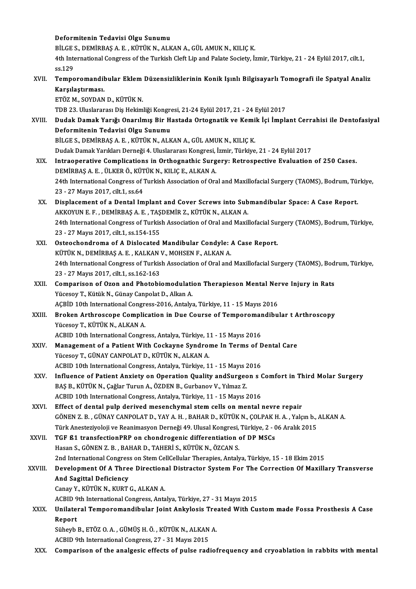|         | Deformitenin Tedavisi Olgu Sunumu                                                                                                                                                          |
|---------|--------------------------------------------------------------------------------------------------------------------------------------------------------------------------------------------|
|         | BİLGE S., DEMİRBAŞ A. E., KÜTÜK N., ALKAN A., GÜL AMUK N., KILIÇ K.<br>4th International Congress of the Turkish Cleft Lip and Palate Society, İzmir, Türkiye, 21 - 24 Eylül 2017, cilt.1, |
|         | ss 129                                                                                                                                                                                     |
| XVII.   | Temporomandibular Eklem Düzensizliklerinin Konik Işınlı Bilgisayarlı Tomografi ile Spatyal Analiz                                                                                          |
|         | Karşılaştırması.                                                                                                                                                                           |
|         | ETÖZ M., SOYDAN D., KÜTÜK N.                                                                                                                                                               |
|         | TDB 23. Uluslararası Diş Hekimliği Kongresi, 21-24 Eylül 2017, 21 - 24 Eylül 2017                                                                                                          |
| XVIII.  | Dudak Damak Yarığı Onarılmış Bir Hastada Ortognatik ve Kemik İçi İmplant Cerrahisi ile Dentofasiyal                                                                                        |
|         | Deformitenin Tedavisi Olgu Sunumu                                                                                                                                                          |
|         | BİLGE S., DEMİRBAŞ A. E., KÜTÜK N., ALKAN A., GÜL AMUK N., KILIÇ K.                                                                                                                        |
|         | Dudak Damak Yarıkları Derneği 4. Uluslararası Kongresi, İzmir, Türkiye, 21 - 24 Eylül 2017                                                                                                 |
| XIX.    | Intraoperative Complications in Orthognathic Surgery: Retrospective Evaluation of 250 Cases.                                                                                               |
|         | DEMİRBAŞ A. E., ÜLKER Ö., KÜTÜK N., KILIÇ E., ALKAN A.                                                                                                                                     |
|         | 24th International Congress of Turkish Association of Oral and Maxillofacial Surgery (TAOMS), Bodrum, Türkiye,                                                                             |
|         | 23 - 27 Mayıs 2017, cilt 1, ss 64                                                                                                                                                          |
| XX.     | Displacement of a Dental Implant and Cover Screws into Submandibular Space: A Case Report.                                                                                                 |
|         | AKKOYUN E.F., DEMİRBAŞ A.E., TAŞDEMİR Z., KÜTÜK N., ALKAN A.                                                                                                                               |
|         | 24th International Congress of Turkish Association of Oral and Maxillofacial Surgery (TAOMS), Bodrum, Türkiye,                                                                             |
|         | 23 - 27 Mayıs 2017, cilt 1, ss 154-155                                                                                                                                                     |
| XXI.    | Osteochondroma of A Dislocated Mandibular Condyle: A Case Report.                                                                                                                          |
|         | KÜTÜK N., DEMİRBAŞ A. E., KALKAN V., MOHSEN F., ALKAN A.                                                                                                                                   |
|         | 24th International Congress of Turkish Association of Oral and Maxillofacial Surgery (TAOMS), Bodrum, Türkiye,                                                                             |
|         | 23 - 27 Mayıs 2017, cilt 1, ss 162-163                                                                                                                                                     |
| XXII.   | Comparison of Ozon and Photobiomodulation Therapieson Mental Nerve Injury in Rats                                                                                                          |
|         | Yücesoy T., Kütük N., Günay Canpolat D., Alkan A.                                                                                                                                          |
|         | AÇBİD 10th International Congress-2016, Antalya, Türkiye, 11 - 15 Mayıs 2016                                                                                                               |
| XXIII.  | Broken Arthroscope Complication in Due Course of Temporomandibular t Arthroscopy<br>Yücesoy T., KÜTÜK N., ALKAN A.                                                                         |
|         | ACBID 10th International Congress, Antalya, Türkiye, 11 - 15 Mayıs 2016                                                                                                                    |
| XXIV.   | Management of a Patient With Cockayne Syndrome In Terms of Dental Care                                                                                                                     |
|         | Yücesoy T., GÜNAY CANPOLAT D., KÜTÜK N., ALKAN A.                                                                                                                                          |
|         | ACBID 10th International Congress, Antalya, Türkiye, 11 - 15 Mayıs 2016                                                                                                                    |
| XXV.    | Influence of Patient Anxiety on Operation Quality and Surgeon s Comfort in Third Molar Surgery                                                                                             |
|         | BAŞ B., KÜTÜK N., Çağlar Turun A., ÖZDEN B., Gurbanov V., Yılmaz Z.                                                                                                                        |
|         | ACBID 10th International Congress, Antalya, Türkiye, 11 - 15 Mayıs 2016                                                                                                                    |
| XXVI.   | Effect of dental pulp derived mesenchymal stem cells on mental nevre repair                                                                                                                |
|         | GÖNEN Z. B., GÜNAY CANPOLAT D., YAY A. H., BAHAR D., KÜTÜK N., ÇOLPAK H. A., Yalçın b., ALKAN A.                                                                                           |
|         | Türk Anesteziyoloji ve Reanimasyon Derneği 49. Ulusal Kongresi, Türkiye, 2 - 06 Aralık 2015                                                                                                |
| XXVII.  | TGF ß1 transfectionPRP on chondrogenic differentiation of DP MSCs                                                                                                                          |
|         | Hasan S., GÖNEN Z. B., BAHAR D., TAHERİ S., KÜTÜK N., ÖZCAN S.                                                                                                                             |
|         | 2nd International Congress on Stem CellCellular Therapies, Antalya, Türkiye, 15 - 18 Ekim 2015                                                                                             |
| XXVIII. | Development Of A Three Directional Distractor System For The Correction Of Maxillary Transverse                                                                                            |
|         | And Sagittal Deficiency                                                                                                                                                                    |
|         | Canay Y., KÜTÜK N., KURT G., ALKAN A.                                                                                                                                                      |
|         | ACBID 9th International Congress, Antalya, Türkiye, 27 - 31 Mayıs 2015                                                                                                                     |
| XXIX.   | Unilateral Temporomandibular Joint Ankylosis Treated With Custom made Fossa Prosthesis A Case                                                                                              |
|         | Report                                                                                                                                                                                     |
|         | Süheyb B., ETÖZ O. A., GÜMÜŞ H. Ö., KÜTÜK N., ALKAN A.                                                                                                                                     |
|         | ACBID 9th International Congress, 27 - 31 Mayıs 2015                                                                                                                                       |
| XXX.    | Comparison of the analgesic effects of pulse radiofrequency and cryoablation in rabbits with mental                                                                                        |